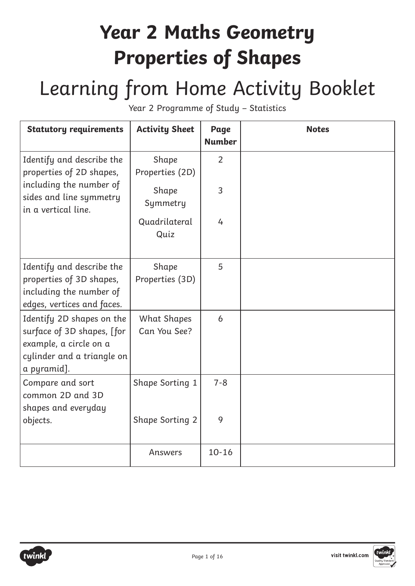#### **Year 2 Maths Geometry Properties of Shapes**

### Learning from Home Activity Booklet

Year 2 Programme of Study – Statistics

| <b>Statutory requirements</b>                                                                                                  | <b>Activity Sheet</b>              | Page<br><b>Number</b> | <b>Notes</b> |
|--------------------------------------------------------------------------------------------------------------------------------|------------------------------------|-----------------------|--------------|
| Identify and describe the<br>properties of 2D shapes,                                                                          | Shape<br>Properties (2D)           | $\overline{2}$        |              |
| including the number of<br>sides and line symmetry<br>in a vertical line.                                                      | Shape<br>Symmetry                  | 3                     |              |
|                                                                                                                                | Quadrilateral<br>Quiz              | 4                     |              |
| Identify and describe the<br>properties of 3D shapes,<br>including the number of<br>edges, vertices and faces.                 | Shape<br>Properties (3D)           | 5                     |              |
| Identify 2D shapes on the<br>surface of 3D shapes, [for<br>example, a circle on a<br>cylinder and a triangle on<br>a pyramid]. | <b>What Shapes</b><br>Can You See? | 6                     |              |
| Compare and sort<br>common 2D and 3D<br>shapes and everyday                                                                    | Shape Sorting 1                    | $7 - 8$               |              |
| objects.                                                                                                                       | <b>Shape Sorting 2</b>             | 9                     |              |
|                                                                                                                                | Answers                            | $10 - 16$             |              |



visit twinkl.com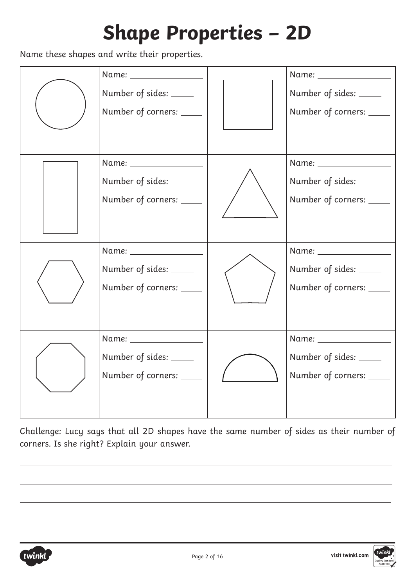## **Shape Properties – 2D**

Name these shapes and write their properties.

| Name: ________________<br>Number of sides: _____<br>Number of corners: _____   | Name: _________________<br>Number of sides: _____<br>Number of corners: _____ |
|--------------------------------------------------------------------------------|-------------------------------------------------------------------------------|
| Name: ________________<br>Number of sides: _____<br>Number of corners: _____   | Name: _________________<br>Number of sides: _____<br>Number of corners: ____  |
| Name: _________________<br>Number of sides: _____<br>Number of corners: _____  | Name: _________________<br>Number of sides: _____<br>Number of corners: ____  |
| Name: __________________<br>Number of sides: _____<br>Number of corners: _____ | Name: ________________<br>Number of sides: _____<br>Number of corners: ____   |

Challenge: Lucy says that all 2D shapes have the same number of sides as their number of corners. Is she right? Explain your answer.



 $\overline{a}$ 

 $\overline{a}$ 

 $\overline{a}$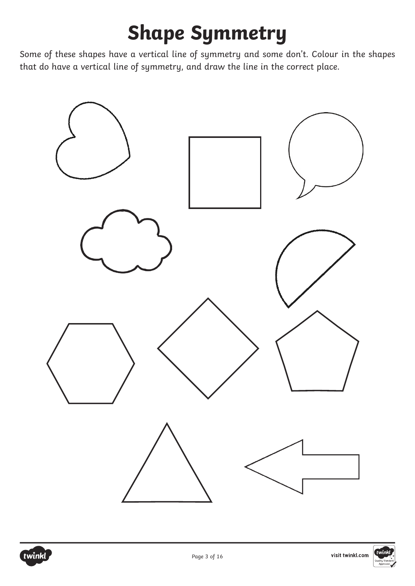# **Shape Symmetry**

Some of these shapes have a vertical line of symmetry and some don't. Colour in the shapes that do have a vertical line of symmetry, and draw the line in the correct place.





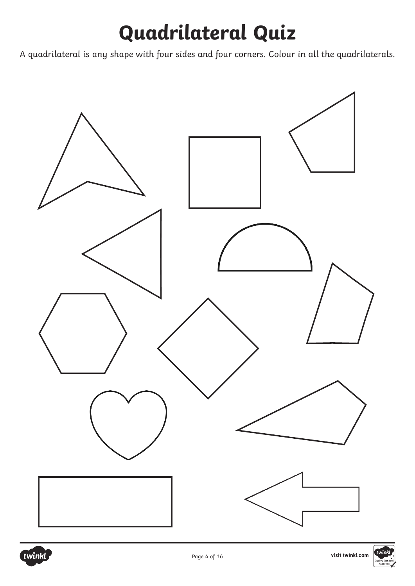## **Quadrilateral Quiz**

A quadrilateral is any shape with four sides and four corners. Colour in all the quadrilaterals.



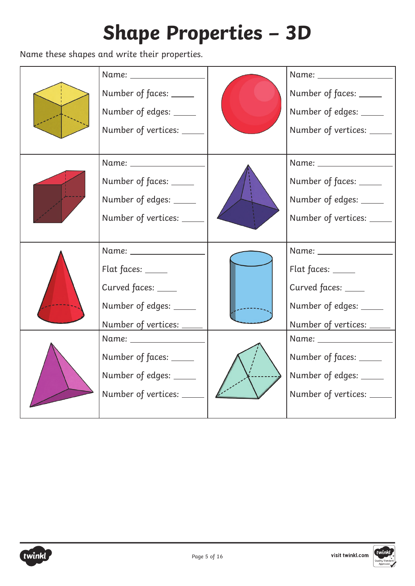# **Shape Properties – 3D**

Name these shapes and write their properties.

| Name: _______________<br>Number of faces: _____<br>Number of edges: _____<br>Number of vertices: _____                                                                                             | Number of faces: _____<br>Number of edges: _____<br>Number of vertices:                                                                                                                          |
|----------------------------------------------------------------------------------------------------------------------------------------------------------------------------------------------------|--------------------------------------------------------------------------------------------------------------------------------------------------------------------------------------------------|
| Number of faces: _____<br>Number of edges: _____<br>Number of vertices:                                                                                                                            | Number of faces: _____<br>Number of edges: _____<br>Number of vertices: _____                                                                                                                    |
| Name: ____________<br>Flat faces: _____<br>Curved faces: ____<br>Number of edges: _____<br>Number of vertices: ___<br>Number of faces: _____<br>Number of edges: _____<br>Number of vertices: ____ | Name: _____________<br>Flat faces: _____<br>Curved faces: ____<br>Number of edges: _____<br>Number of vertices:<br>Number of faces: _____<br>Number of edges: _____<br>Number of vertices: _____ |



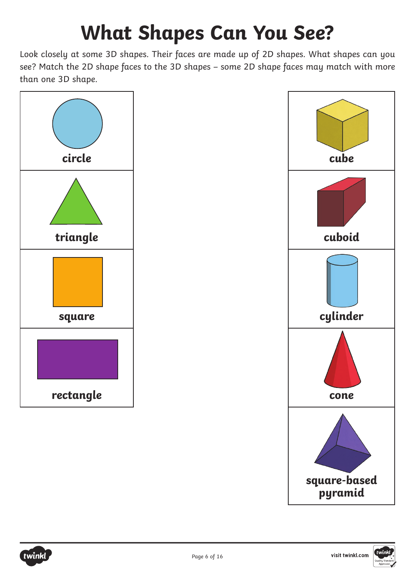# **What Shapes Can You See?**

Look closely at some 3D shapes. Their faces are made up of 2D shapes. What shapes can you see? Match the 2D shape faces to the 3D shapes – some 2D shape faces may match with more than one 3D shape.



twink



![](_page_5_Picture_4.jpeg)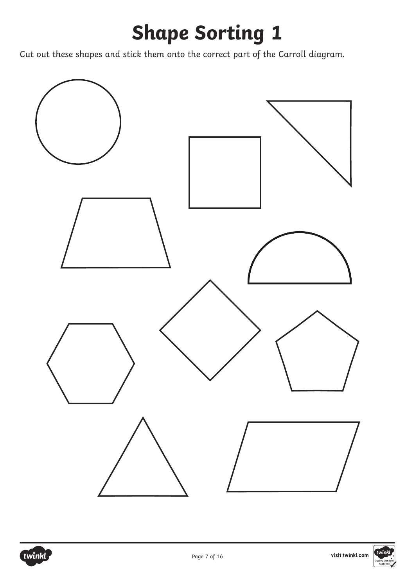## **Shape Sorting 1**

Cut out these shapes and stick them onto the correct part of the Carroll diagram.

![](_page_6_Figure_2.jpeg)

![](_page_6_Picture_3.jpeg)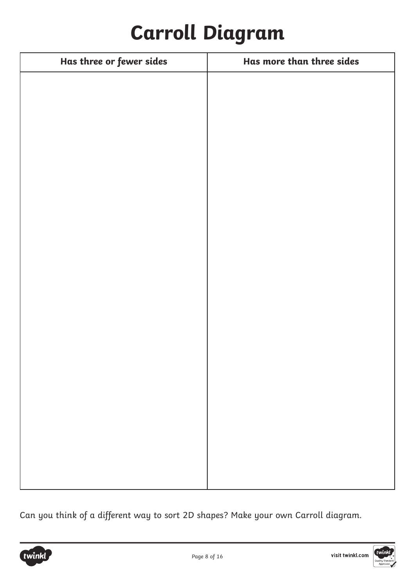### **Carroll Diagram**

| Has three or fewer sides | Has more than three sides |
|--------------------------|---------------------------|
|                          |                           |
|                          |                           |
|                          |                           |
|                          |                           |
|                          |                           |
|                          |                           |
|                          |                           |
|                          |                           |
|                          |                           |
|                          |                           |
|                          |                           |
|                          |                           |
|                          |                           |
|                          |                           |
|                          |                           |
|                          |                           |
|                          |                           |
|                          |                           |
|                          |                           |
|                          |                           |
|                          |                           |
|                          |                           |

Can you think of a different way to sort 2D shapes? Make your own Carroll diagram.

![](_page_7_Picture_3.jpeg)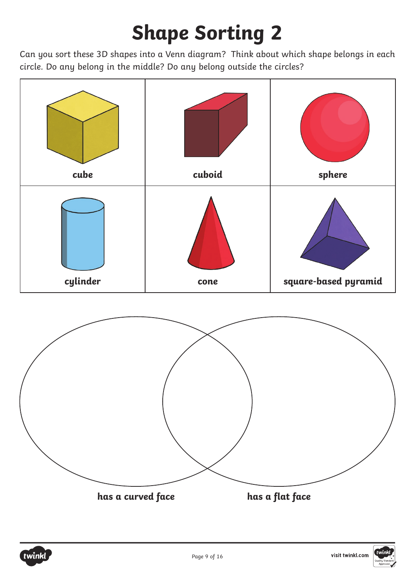# **Shape Sorting 2**

Can you sort these 3D shapes into a Venn diagram? Think about which shape belongs in each circle. Do any belong in the middle? Do any belong outside the circles?

![](_page_8_Figure_2.jpeg)

![](_page_8_Picture_3.jpeg)

![](_page_8_Picture_4.jpeg)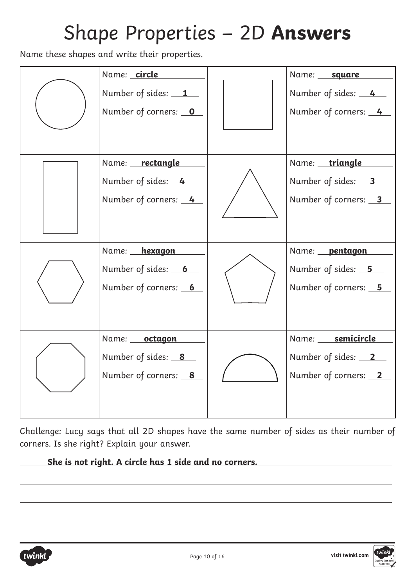#### Shape Properties – 2D **Answers**

Name these shapes and write their properties.

| Name: circle<br>Number of sides: 1<br>Number of corners: 0    | Name: square<br>Number of sides: 4<br>Number of corners: 4                 |
|---------------------------------------------------------------|----------------------------------------------------------------------------|
| Name: rectangle<br>Number of sides: 4<br>Number of corners: 4 | Name: triangle<br>Number of sides: 3<br>Number of corners: 3               |
| Name: hexagon<br>Number of sides: 6<br>Number of corners: 6   | Name: <b>pentagon</b><br>Number of sides: <u>5</u><br>Number of corners: 5 |
| Name: octagon<br>Number of sides: $8$<br>Number of corners: 8 | Name: semicircle<br>Number of sides: $2$<br>Number of corners: 2           |

Challenge: Lucy says that all 2D shapes have the same number of sides as their number of corners. Is she right? Explain your answer.

 **She is not right. A circle has 1 side and no corners.** 

![](_page_9_Picture_5.jpeg)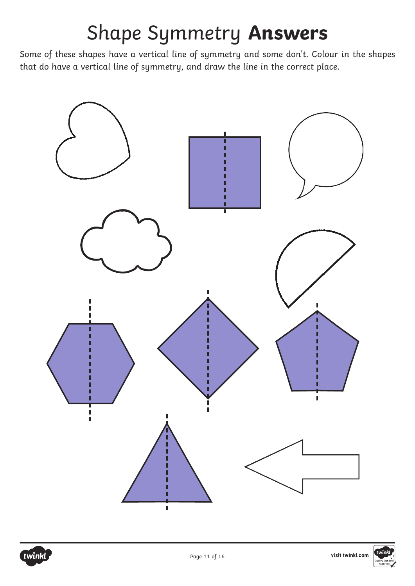### Shape Symmetry **Answers**

Some of these shapes have a vertical line of symmetry and some don't. Colour in the shapes that do have a vertical line of symmetry, and draw the line in the correct place.

![](_page_10_Figure_2.jpeg)

![](_page_10_Picture_3.jpeg)

![](_page_10_Picture_4.jpeg)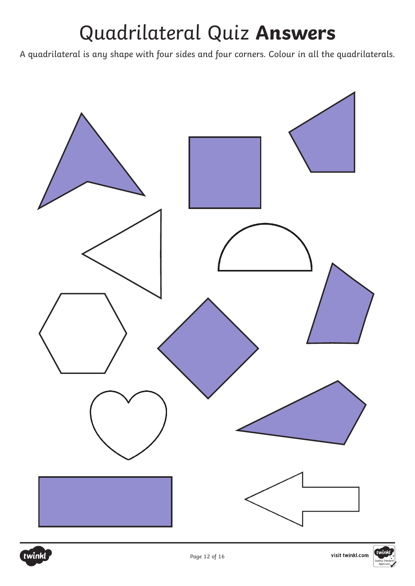### Quadrilateral Quiz **Answers**

A quadrilateral is any shape with four sides and four corners. Colour in all the quadrilaterals.

![](_page_11_Figure_2.jpeg)

![](_page_11_Picture_3.jpeg)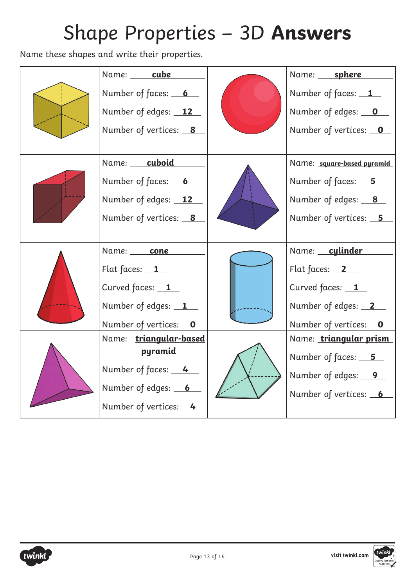# Shape Properties – 3D **Answers**

Name these shapes and write their properties.

|  | Name: cube             |  | Name: sphere               |
|--|------------------------|--|----------------------------|
|  | Number of faces: 6     |  | Number of faces: $1$       |
|  | Number of edges: 12    |  | Number of edges: 0         |
|  | Number of vertices: 8  |  | Number of vertices: 0      |
|  |                        |  |                            |
|  | Name: cuboid           |  | Name: square-based pyramid |
|  | Number of faces: 6     |  | Number of faces: 5         |
|  | Number of edges: 12    |  | Number of edges: 8         |
|  | Number of vertices: 8  |  | Number of vertices: 5      |
|  |                        |  |                            |
|  | Name: cone             |  | Name: cylinder             |
|  | Flat faces: $1$        |  | Flat faces: $2$            |
|  | Curved faces: 1        |  | Curved faces: 1            |
|  | Number of edges: 1     |  | Number of edges: 2         |
|  | Number of vertices: 0  |  | Number of vertices: 0      |
|  | Name: triangular-based |  | Name: triangular prism     |
|  | <u>pyramid</u>         |  | Number of faces: <u>5</u>  |
|  | Number of faces: 4     |  | Number of edges: 9         |
|  | Number of edges: 6     |  | Number of vertices: 6      |
|  | Number of vertices: 4  |  |                            |

![](_page_12_Picture_3.jpeg)

![](_page_12_Picture_4.jpeg)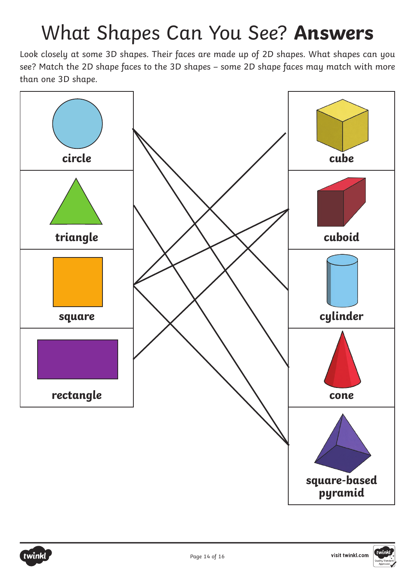### What Shapes Can You See? **Answers**

Look closely at some 3D shapes. Their faces are made up of 2D shapes. What shapes can you see? Match the 2D shape faces to the 3D shapes – some 2D shape faces may match with more than one 3D shape.

![](_page_13_Figure_2.jpeg)

![](_page_13_Picture_3.jpeg)

![](_page_13_Picture_4.jpeg)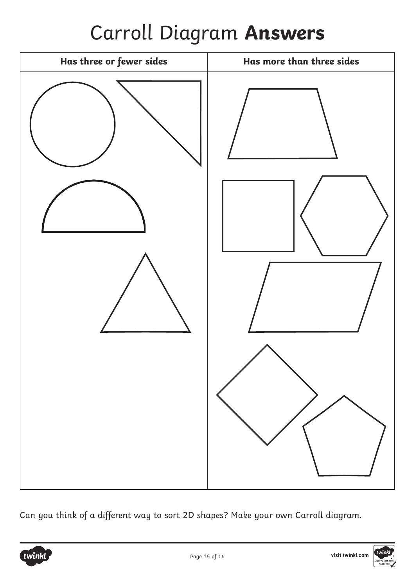### Carroll Diagram **Answers**

![](_page_14_Picture_1.jpeg)

Can you think of a different way to sort 2D shapes? Make your own Carroll diagram.

![](_page_14_Picture_3.jpeg)